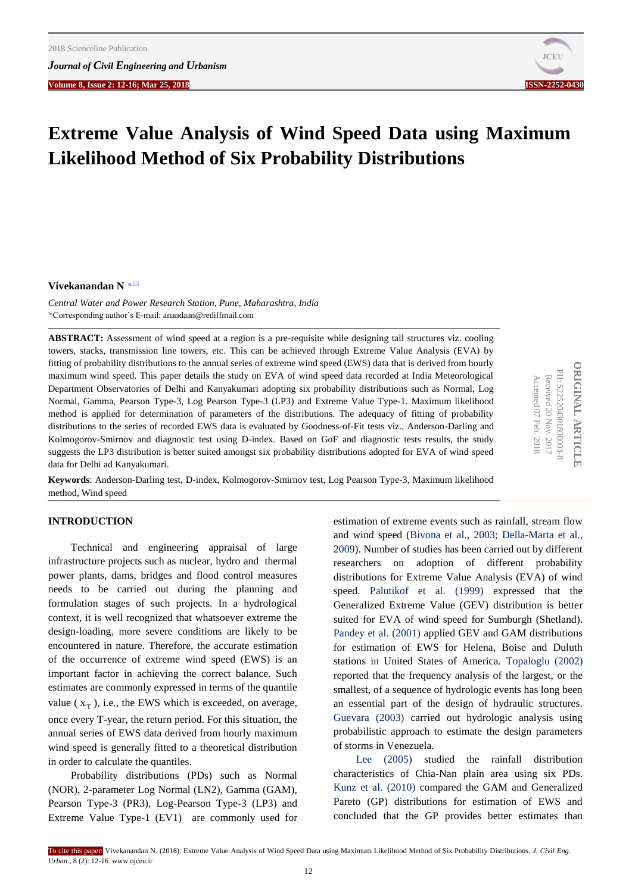**Volume 8, Issue 2: 12-16; Mar 25, 2018****ISSN-2252-0430**



**ORIGINAL ARTICLE** PII: S225204301800003-8

**ORIGINAL ARTICL** PII: S225204301800003-8 Received 20 Nov. 2017 Accepted 07 Feb. 2018

Received 20

Accepted 07

Feb. 2018

Nov. 2017

# **Extreme Value Analysis of Wind Speed Data using Maximum Likelihood Method of Six Probability Distributions**

## **Vivekanandan N**

*Central Water and Power Research Station, Pune, Maharashtra, India*  Corresponding author's E-mail: anandaan@rediffmail.com

**ABSTRACT:** Assessment of wind speed at a region is a pre-requisite while designing tall structures viz. cooling towers, stacks, transmission line towers, etc. This can be achieved through Extreme Value Analysis (EVA) by fitting of probability distributions to the annual series of extreme wind speed (EWS) data that is derived from hourly maximum wind speed. This paper details the study on EVA of wind speed data recorded at India Meteorological Department Observatories of Delhi and Kanyakumari adopting six probability distributions such as Normal, Log Normal, Gamma, Pearson Type-3, Log Pearson Type-3 (LP3) and Extreme Value Type-1. Maximum likelihood method is applied for determination of parameters of the distributions. The adequacy of fitting of probability distributions to the series of recorded EWS data is evaluated by Goodness-of-Fit tests viz., Anderson-Darling and Kolmogorov-Smirnov and diagnostic test using D-index. Based on GoF and diagnostic tests results, the study suggests the LP3 distribution is better suited amongst six probability distributions adopted for EVA of wind speed data for Delhi ad Kanyakumari.

**Keywords**: Anderson-Darling test, D-index, Kolmogorov-Smirnov test, Log Pearson Type-3, Maximum likelihood method, Wind speed

## **INTRODUCTION**

Technical and engineering appraisal of large infrastructure projects such as nuclear, hydro and thermal power plants, dams, bridges and flood control measures needs to be carried out during the planning and formulation stages of such projects. In a hydrological context, it is well recognized that whatsoever extreme the design-loading, more severe conditions are likely to be encountered in nature. Therefore, the accurate estimation of the occurrence of extreme wind speed (EWS) is an important factor in achieving the correct balance. Such estimates are commonly expressed in terms of the quantile value  $(x_T)$ , i.e., the EWS which is exceeded, on average, once every T-year, the return period. For this situation, the annual series of EWS data derived from hourly maximum wind speed is generally fitted to a theoretical distribution in order to calculate the quantiles.

Probability distributions (PDs) such as Normal (NOR), 2-parameter Log Normal (LN2), Gamma (GAM), Pearson Type-3 (PR3), Log-Pearson Type-3 (LP3) and Extreme Value Type-1 (EV1) are commonly used for estimation of extreme events such as rainfall, stream flow and wind speed [\(Bivona et al., 2003; Della-Marta](#page-4-0) et al., 2009). Number of studies has been carried out by different researchers on adoption of different probability distributions for Extreme Value Analysis (EVA) of wind speed. [Palutikof et al. \(1999\)](#page-4-0) expressed that the Generalized Extreme Value (GEV) distribution is better suited for EVA of wind speed for Sumburgh (Shetland). [Pandey et al. \(2001\)](#page-4-0) applied GEV and GAM distributions for estimation of EWS for Helena, Boise and Duluth stations in United States of America. [Topaloglu \(2002\)](#page-4-0) reported that the frequency analysis of the largest, or the smallest, of a sequence of hydrologic events has long been an essential part of the design of hydraulic structures. [Guevara \(2003\)](#page-4-0) carried out hydrologic analysis using probabilistic approach to estimate the design parameters of storms in Venezuela.

[Lee \(2005\)](#page-4-0) studied the rainfall distribution characteristics of Chia-Nan plain area using six PDs. [Kunz et al. \(2010\)](#page-4-0) compared the GAM and Generalized Pareto (GP) distributions for estimation of EWS and concluded that the GP provides better estimates than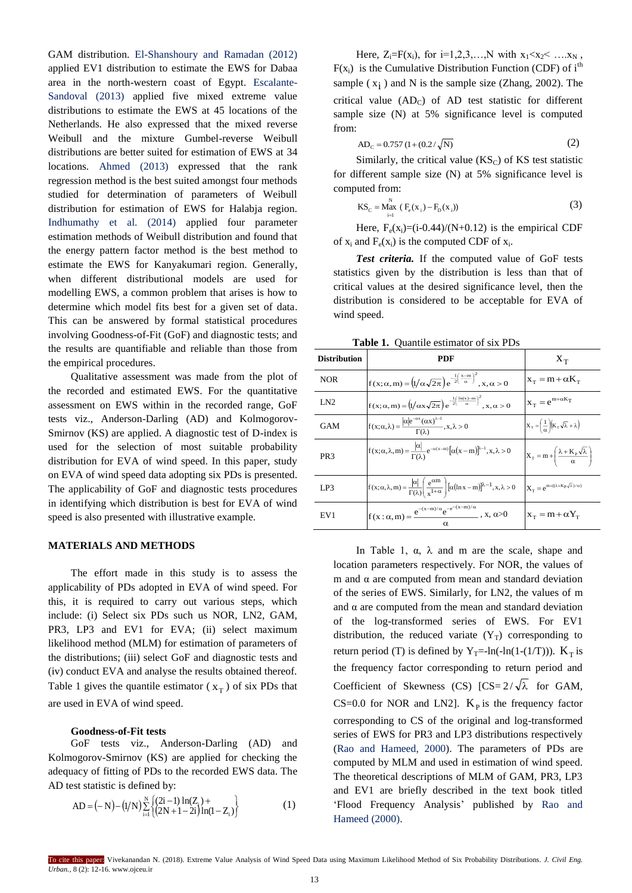GAM distribution. [El-Shanshoury and Ramadan \(2012\)](#page-4-0)  applied EV1 distribution to estimate the EWS for Dabaa area in the north-western coast of Egypt. [Escalante-](#page-4-0)[Sandoval \(2013\)](#page-4-0) applied five mixed extreme value distributions to estimate the EWS at 45 locations of the Netherlands. He also expressed that the mixed reverse Weibull and the mixture Gumbel-reverse Weibull distributions are better suited for estimation of EWS at 34 locations. [Ahmed \(2013\)](#page-4-0) expressed that the rank regression method is the best suited amongst four methods studied for determination of parameters of Weibull distribution for estimation of EWS for Halabja region. Indhumathy [et al. \(2014\)](#page-4-0) applied four parameter estimation methods of Weibull distribution and found that the energy pattern factor method is the best method to estimate the EWS for Kanyakumari region. Generally, when different distributional models are used for modelling EWS, a common problem that arises is how to determine which model fits best for a given set of data. This can be answered by formal statistical procedures involving Goodness-of-Fit (GoF) and diagnostic tests; and the results are quantifiable and reliable than those from the empirical procedures.

Qualitative assessment was made from the plot of the recorded and estimated EWS. For the quantitative assessment on EWS within in the recorded range, GoF tests viz., Anderson-Darling (AD) and Kolmogorov-Smirnov (KS) are applied. A diagnostic test of D-index is used for the selection of most suitable probability distribution for EVA of wind speed. In this paper, study on EVA of wind speed data adopting six PDs is presented. The applicability of GoF and diagnostic tests procedures in identifying which distribution is best for EVA of wind speed is also presented with illustrative example.

## **MATERIALS AND METHODS**

The effort made in this study is to assess the applicability of PDs adopted in EVA of wind speed. For this, it is required to carry out various steps, which include: (i) Select six PDs such us NOR, LN2, GAM, PR3, LP3 and EV1 for EVA; (ii) select maximum likelihood method (MLM) for estimation of parameters of the distributions; (iii) select GoF and diagnostic tests and (iv) conduct EVA and analyse the results obtained thereof. Table 1 gives the quantile estimator  $(x_T)$  of six PDs that are used in EVA of wind speed.

#### **Goodness-of-Fit tests**

GoF tests viz., Anderson-Darling (AD) and Kolmogorov-Smirnov (KS) are applied for checking the adequacy of fitting of PDs to the recorded EWS data. The AD test statistic is defined by:

AD = (-N) - (1/N)
$$
\sum_{i=1}^{N} \left\{ \frac{(2i-1)\ln(Z_i) +}{(2N+1-2i)\ln(1-Z_i)} \right\}
$$
 (1)

Here,  $Z_i = F(x_i)$ , for  $i=1,2,3,...,N$  with  $x_1 < x_2 < ... x_N$ ,  $F(x_i)$  is the Cumulative Distribution Function (CDF) of i<sup>th</sup> sample  $(x<sub>i</sub>)$  and N is the sample size (Zhang, 2002). The critical value  $(AD_C)$  of  $AD$  test statistic for different sample size (N) at 5% significance level is computed from:

$$
AD_c = 0.757 (1 + (0.2/\sqrt{N})
$$
 (2)

Similarly, the critical value  $(KS_C)$  of KS test statistic for different sample size (N) at 5% significance level is computed from:

$$
KS_{C} = M_{\text{all}}^{N} \left( F_{e}(x_{i}) - F_{D}(x_{i}) \right)
$$
 (3)

Here,  $F_e(x_i)=(i-0.44)/(N+0.12)$  is the empirical CDF of  $x_i$  and  $F_e(x_i)$  is the computed CDF of  $x_i$ .

*Test criteria.* If the computed value of GoF tests statistics given by the distribution is less than that of critical values at the desired significance level, then the distribution is considered to be acceptable for EVA of wind speed.

|  |  | <b>Table 1.</b> Quantile estimator of six PDs |  |  |  |
|--|--|-----------------------------------------------|--|--|--|
|--|--|-----------------------------------------------|--|--|--|

| <b>Distribution</b> | PDF                                                                                                                                                            | $X_T$                                                                  |
|---------------------|----------------------------------------------------------------------------------------------------------------------------------------------------------------|------------------------------------------------------------------------|
| <b>NOR</b>          | $f(x;\alpha,m) = \left(\frac{1}{\alpha\sqrt{2\pi}}\right)e^{-\frac{1}{2}\left(\frac{x-m}{\alpha}\right)^2}, x, \alpha > 0$                                     | $x_T = m + \alpha K_T$                                                 |
| LN <sub>2</sub>     | $f(x;\alpha,m) = \left(1/\alpha x \sqrt{2\pi}\right) e^{-\frac{1}{2}\left(\frac{\ln(x)-m}{\alpha}\right)^2}, x, \alpha > 0$                                    | $x_T = e^{m + \alpha K_T}$                                             |
| <b>GAM</b>          | $f(x;\alpha,\lambda) = \frac{ \alpha e^{-\alpha x}(\alpha x)^{\lambda-1}}{\Gamma(\lambda)}, x, \lambda > 0$                                                    | $X_T = \left(\frac{1}{\alpha}\right) (K_T \sqrt{\lambda} + \lambda)$   |
| PR <sub>3</sub>     | $f(x;\alpha,\lambda,m) = \frac{ \alpha }{\Gamma(\lambda)} e^{-\alpha(x-m)} [\alpha(x-m)]^{\lambda-1}, x, \lambda > 0$                                          | $X_T = m + \left(\frac{\lambda + K_p \sqrt{\lambda}}{\alpha}\right)$   |
| LP3                 | $f(x;\alpha,\lambda,m) = \frac{ \alpha }{\Gamma(\lambda)} \left( \frac{e^{\alpha m}}{x^{1+\alpha}} \right) [\alpha (\ln x - m)]^{\lambda - 1}, x, \lambda > 0$ | $\mathbf{X}_{\mathrm{T}}=e^{m+((\lambda+K_{P}\sqrt{\lambda})/\alpha)}$ |
| EV1                 | $f(x:\alpha,m) = \frac{e^{-(x-m)/\alpha}e^{-e^{-(x-m)/\alpha}}}{e^{-(x-m)/\alpha}}$ , x, $\alpha > 0$<br>$\alpha$                                              | $x_T = m + \alpha Y_T$                                                 |

In Table 1,  $\alpha$ ,  $\lambda$  and m are the scale, shape and location parameters respectively. For NOR, the values of m and  $\alpha$  are computed from mean and standard deviation of the series of EWS. Similarly, for LN2, the values of m and  $\alpha$  are computed from the mean and standard deviation of the log-transformed series of EWS. For EV1 distribution, the reduced variate  $(Y_T)$  corresponding to return period (T) is defined by  $Y_T = -\ln(-\ln(1-(1/T)))$ .  $K_T$  is the frequency factor corresponding to return period and Coefficient of Skewness (CS)  $[CS = 2/\sqrt{\lambda}$  for GAM, CS=0.0 for NOR and LN2].  $K_p$  is the frequency factor corresponding to CS of the original and log-transformed series of EWS for PR3 and LP3 distributions respectively (Rao and [Hameed, 2000\).](#page-4-0) The parameters of PDs are computed by MLM and used in estimation of wind speed. The theoretical descriptions of MLM of GAM, PR3, LP3 and EV1 are briefly described in the text book titled 'Flood Frequency Analysis' published by [Rao and](#page-4-0)  [Hameed \(2000\).](#page-4-0)

To cite this paper: Vivekanandan N. (2018). Extreme Value Analysis of Wind Speed Data using Maximum Likelihood Method of Six Probability Distributions. *J. Civil Eng. Urban.,* 8 (2): 12-16. www.ojceu.ir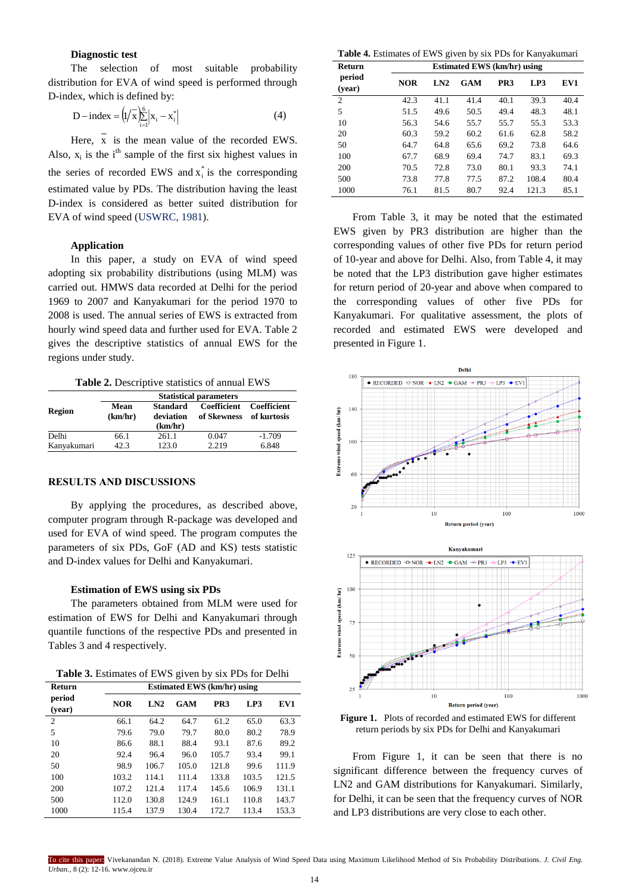# **Diagnostic test**

The selection of most suitable probability distribution for EVA of wind speed is performed through D-index, which is defined by:

$$
D - index = (1/\bar{x})\sum_{i=1}^{6} |x_i - x_i^*|
$$
 (4)

Here, x is the mean value of the recorded EWS. Also,  $x_i$  is the i<sup>th</sup> sample of the first six highest values in the series of recorded EWS and  $x_i^*$  is the corresponding estimated value by PDs. The distribution having the least D-index is considered as better suited distribution for EVA of wind speed [\(USWRC, 1981\).](#page-4-0)

## **Application**

In this paper, a study on EVA of wind speed adopting six probability distributions (using MLM) was carried out. HMWS data recorded at Delhi for the period 1969 to 2007 and Kanyakumari for the period 1970 to 2008 is used. The annual series of EWS is extracted from hourly wind speed data and further used for EVA. Table 2 gives the descriptive statistics of annual EWS for the regions under study.

**Table 2.** Descriptive statistics of annual EWS

|             | <b>Statistical parameters</b> |                                  |                            |                            |  |
|-------------|-------------------------------|----------------------------------|----------------------------|----------------------------|--|
| Region      | Mean<br>(km/hr)               | Standard<br>deviation<br>(km/hr) | Coefficient<br>of Skewness | Coefficient<br>of kurtosis |  |
| Delhi       | 66.1                          | 261.1                            | 0.047                      | $-1.709$                   |  |
| Kanyakumari | 42.3                          | 123.0                            | 2.219                      | 6.848                      |  |

## **RESULTS AND DISCUSSIONS**

By applying the procedures, as described above, computer program through R-package was developed and used for EVA of wind speed. The program computes the parameters of six PDs, GoF (AD and KS) tests statistic and D-index values for Delhi and Kanyakumari.

#### **Estimation of EWS using six PDs**

The parameters obtained from MLM were used for estimation of EWS for Delhi and Kanyakumari through quantile functions of the respective PDs and presented in Tables 3 and 4 respectively.

| Return           | <b>Estimated EWS (km/hr) using</b> |       |       |       |       |       |
|------------------|------------------------------------|-------|-------|-------|-------|-------|
| period<br>(year) | <b>NOR</b>                         | LN2   | GAM   | PR3   | LP3   | EV1   |
| $\overline{2}$   | 66.1                               | 64.2  | 64.7  | 61.2  | 65.0  | 63.3  |
| 5                | 79.6                               | 79.0  | 79.7  | 80.0  | 80.2  | 78.9  |
| 10               | 86.6                               | 88.1  | 88.4  | 93.1  | 87.6  | 89.2  |
| 20               | 92.4                               | 96.4  | 96.0  | 105.7 | 93.4  | 99.1  |
| 50               | 98.9                               | 106.7 | 105.0 | 121.8 | 99.6  | 111.9 |
| 100              | 103.2                              | 114.1 | 111.4 | 133.8 | 103.5 | 121.5 |
| 200              | 107.2                              | 121.4 | 117.4 | 145.6 | 106.9 | 131.1 |
| 500              | 112.0                              | 130.8 | 124.9 | 161.1 | 110.8 | 143.7 |
| 1000             | 115.4                              | 137.9 | 130.4 | 172.7 | 113.4 | 153.3 |

**Table 4.** Estimates of EWS given by six PDs for Kanyakumari

| Return           | <b>Estimated EWS (km/hr) using</b> |      |            |                 |       |      |
|------------------|------------------------------------|------|------------|-----------------|-------|------|
| period<br>(vear) | <b>NOR</b>                         | LN2  | <b>GAM</b> | PR <sub>3</sub> | LP3   | EV1  |
| $\overline{2}$   | 42.3                               | 41.1 | 41.4       | 40.1            | 39.3  | 40.4 |
| 5                | 51.5                               | 49.6 | 50.5       | 49.4            | 48.3  | 48.1 |
| 10               | 56.3                               | 54.6 | 55.7       | 55.7            | 55.3  | 53.3 |
| 20               | 60.3                               | 59.2 | 60.2       | 61.6            | 62.8  | 58.2 |
| 50               | 64.7                               | 64.8 | 65.6       | 69.2            | 73.8  | 64.6 |
| 100              | 67.7                               | 68.9 | 69.4       | 74.7            | 83.1  | 69.3 |
| 200              | 70.5                               | 72.8 | 73.0       | 80.1            | 93.3  | 74.1 |
| 500              | 73.8                               | 77.8 | 77.5       | 87.2            | 108.4 | 80.4 |
| 1000             | 76.1                               | 81.5 | 80.7       | 92.4            | 121.3 | 85.1 |

From Table 3, it may be noted that the estimated EWS given by PR3 distribution are higher than the corresponding values of other five PDs for return period of 10-year and above for Delhi. Also, from Table 4, it may be noted that the LP3 distribution gave higher estimates for return period of 20-year and above when compared to the corresponding values of other five PDs for Kanyakumari. For qualitative assessment, the plots of recorded and estimated EWS were developed and presented in Figure 1.





**Figure 1.** Plots of recorded and estimated EWS for different return periods by six PDs for Delhi and Kanyakumari

From Figure 1, it can be seen that there is no significant difference between the frequency curves of LN2 and GAM distributions for Kanyakumari. Similarly, for Delhi, it can be seen that the frequency curves of NOR and LP3 distributions are very close to each other.

To cite this paper: Vivekanandan N. (2018). Extreme Value Analysis of Wind Speed Data using Maximum Likelihood Method of Six Probability Distributions. *J. Civil Eng. Urban.,* 8 (2): 12-16. www.ojceu.ir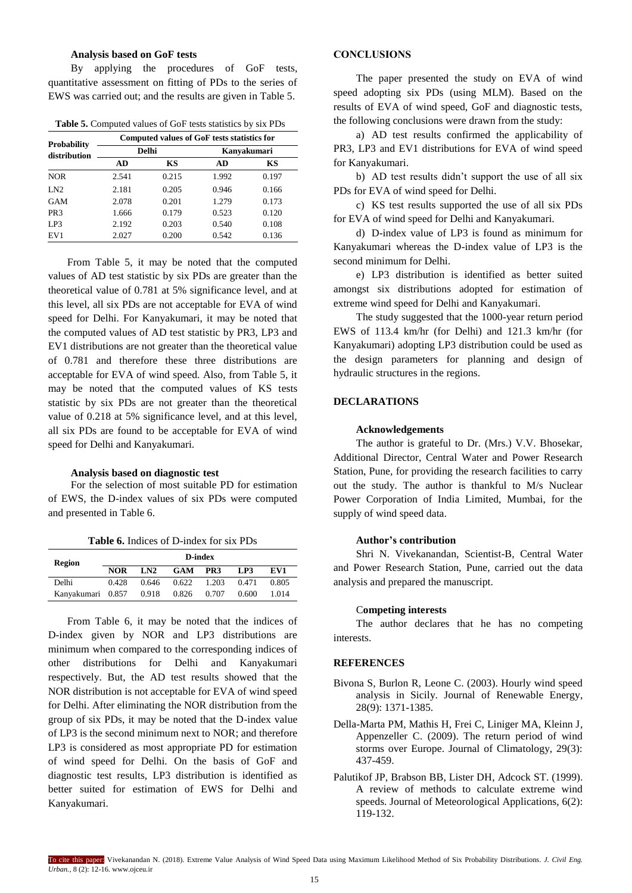## **Analysis based on GoF tests**

By applying the procedures of GoF tests, quantitative assessment on fitting of PDs to the series of EWS was carried out; and the results are given in Table 5.

**Table 5.** Computed values of GoF tests statistics by six PDs

| <b>Probability</b><br>distribution |       | Computed values of GoF tests statistics for |       |             |  |  |  |
|------------------------------------|-------|---------------------------------------------|-------|-------------|--|--|--|
|                                    |       | <b>Delhi</b>                                |       | Kanvakumari |  |  |  |
|                                    | AD    | KS                                          | AD    | KS          |  |  |  |
| <b>NOR</b>                         | 2.541 | 0.215                                       | 1.992 | 0.197       |  |  |  |
| LN2                                | 2.181 | 0.205                                       | 0.946 | 0.166       |  |  |  |
| GAM                                | 2.078 | 0.201                                       | 1.279 | 0.173       |  |  |  |
| PR <sub>3</sub>                    | 1.666 | 0.179                                       | 0.523 | 0.120       |  |  |  |
| LP3                                | 2.192 | 0.203                                       | 0.540 | 0.108       |  |  |  |
| EV <sub>1</sub>                    | 2.027 | 0.200                                       | 0.542 | 0.136       |  |  |  |

From Table 5, it may be noted that the computed values of AD test statistic by six PDs are greater than the theoretical value of 0.781 at 5% significance level, and at this level, all six PDs are not acceptable for EVA of wind speed for Delhi. For Kanyakumari, it may be noted that the computed values of AD test statistic by PR3, LP3 and EV1 distributions are not greater than the theoretical value of 0.781 and therefore these three distributions are acceptable for EVA of wind speed. Also, from Table 5, it may be noted that the computed values of KS tests statistic by six PDs are not greater than the theoretical value of 0.218 at 5% significance level, and at this level, all six PDs are found to be acceptable for EVA of wind speed for Delhi and Kanyakumari.

#### **Analysis based on diagnostic test**

For the selection of most suitable PD for estimation of EWS, the D-index values of six PDs were computed and presented in Table 6.

**Table 6.** Indices of D-index for six PDs

| Region            |            |       |            | D-index         |       |       |
|-------------------|------------|-------|------------|-----------------|-------|-------|
|                   | <b>NOR</b> | LN2   | <b>GAM</b> | PR <sub>3</sub> | LP3   | EV1   |
| Delhi             | 0.428      | 0.646 | 0.622      | 1.203           | 0.471 | 0.805 |
| Kanyakumari 0.857 |            | 0.918 | 0.826      | 0.707           | 0.600 | 1.014 |

From Table 6, it may be noted that the indices of D-index given by NOR and LP3 distributions are minimum when compared to the corresponding indices of other distributions for Delhi and Kanyakumari respectively. But, the AD test results showed that the NOR distribution is not acceptable for EVA of wind speed for Delhi. After eliminating the NOR distribution from the group of six PDs, it may be noted that the D-index value of LP3 is the second minimum next to NOR; and therefore LP3 is considered as most appropriate PD for estimation of wind speed for Delhi. On the basis of GoF and diagnostic test results, LP3 distribution is identified as better suited for estimation of EWS for Delhi and Kanyakumari.

## **CONCLUSIONS**

The paper presented the study on EVA of wind speed adopting six PDs (using MLM). Based on the results of EVA of wind speed, GoF and diagnostic tests, the following conclusions were drawn from the study:

a) AD test results confirmed the applicability of PR3, LP3 and EV1 distributions for EVA of wind speed for Kanyakumari.

b) AD test results didn't support the use of all six PDs for EVA of wind speed for Delhi.

c) KS test results supported the use of all six PDs for EVA of wind speed for Delhi and Kanyakumari.

d) D-index value of LP3 is found as minimum for Kanyakumari whereas the D-index value of LP3 is the second minimum for Delhi.

e) LP3 distribution is identified as better suited amongst six distributions adopted for estimation of extreme wind speed for Delhi and Kanyakumari.

The study suggested that the 1000-year return period EWS of 113.4 km/hr (for Delhi) and 121.3 km/hr (for Kanyakumari) adopting LP3 distribution could be used as the design parameters for planning and design of hydraulic structures in the regions.

## **DECLARATIONS**

#### **Acknowledgements**

The author is grateful to Dr. (Mrs.) V.V. Bhosekar, Additional Director, Central Water and Power Research Station, Pune, for providing the research facilities to carry out the study. The author is thankful to M/s Nuclear Power Corporation of India Limited, Mumbai, for the supply of wind speed data.

#### **Author's contribution**

Shri N. Vivekanandan, Scientist-B, Central Water and Power Research Station, Pune, carried out the data analysis and prepared the manuscript.

#### C**ompeting interests**

The author declares that he has no competing interests.

#### **REFERENCES**

- Bivona S, Burlon R, Leone C. (2003). Hourly wind speed analysis in Sicily. Journal of Renewable Energy, 28(9): 1371-1385.
- Della-Marta PM, Mathis H, Frei C, Liniger MA, Kleinn J, Appenzeller C. (2009). The return period of wind storms over Europe. Journal of Climatology, 29(3): 437-459.
- Palutikof JP, Brabson BB, Lister DH, Adcock ST. (1999). A review of methods to calculate extreme wind speeds. Journal of Meteorological Applications, 6(2): 119-132.